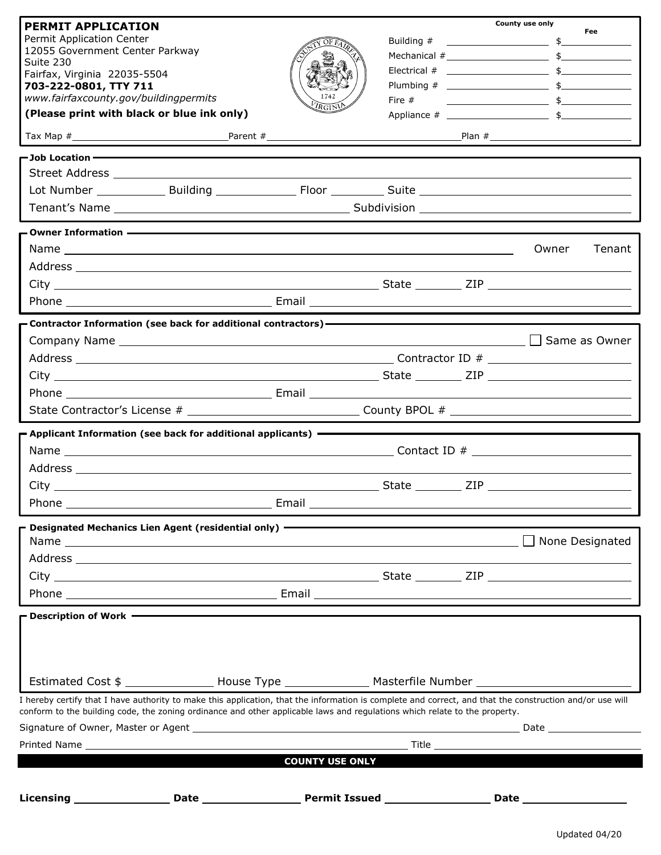| <b>PERMIT APPLICATION</b>                                                                                                                                                                                                                                                              |                                                           |                        |          | County use only                                                                                                                                  |
|----------------------------------------------------------------------------------------------------------------------------------------------------------------------------------------------------------------------------------------------------------------------------------------|-----------------------------------------------------------|------------------------|----------|--------------------------------------------------------------------------------------------------------------------------------------------------|
| Permit Application Center                                                                                                                                                                                                                                                              |                                                           |                        |          | Fee                                                                                                                                              |
| 12055 Government Center Parkway                                                                                                                                                                                                                                                        |                                                           |                        |          |                                                                                                                                                  |
| Suite 230<br>Fairfax, Virginia 22035-5504                                                                                                                                                                                                                                              |                                                           |                        |          |                                                                                                                                                  |
| 703-222-0801, TTY 711                                                                                                                                                                                                                                                                  |                                                           |                        |          |                                                                                                                                                  |
| www.fairfaxcounty.gov/buildingpermits                                                                                                                                                                                                                                                  |                                                           | $R$ $G1$ N             | Fire $#$ | $\overbrace{\hspace{2.5cm}}$ $\overbrace{\hspace{2.5cm}}$ $\overbrace{\hspace{2.5cm}}$ $\overbrace{\hspace{2.5cm}}$ $\overbrace{\hspace{2.5cm}}$ |
| (Please print with black or blue ink only)                                                                                                                                                                                                                                             |                                                           |                        |          |                                                                                                                                                  |
|                                                                                                                                                                                                                                                                                        |                                                           |                        |          |                                                                                                                                                  |
| $\blacksquare$ Job Location — $\blacksquare$                                                                                                                                                                                                                                           |                                                           |                        |          |                                                                                                                                                  |
|                                                                                                                                                                                                                                                                                        |                                                           |                        |          |                                                                                                                                                  |
|                                                                                                                                                                                                                                                                                        |                                                           |                        |          |                                                                                                                                                  |
|                                                                                                                                                                                                                                                                                        |                                                           |                        |          |                                                                                                                                                  |
| - Owner Information - 2000 - 2000 - 2010 - 2010 - 2010 - 2010 - 2010 - 2010 - 2010 - 2010 - 2010 - 2010 - 201                                                                                                                                                                          |                                                           |                        |          |                                                                                                                                                  |
|                                                                                                                                                                                                                                                                                        |                                                           |                        |          | Tenant<br>Owner                                                                                                                                  |
|                                                                                                                                                                                                                                                                                        |                                                           |                        |          |                                                                                                                                                  |
|                                                                                                                                                                                                                                                                                        |                                                           |                        |          |                                                                                                                                                  |
|                                                                                                                                                                                                                                                                                        |                                                           |                        |          |                                                                                                                                                  |
|                                                                                                                                                                                                                                                                                        |                                                           |                        |          |                                                                                                                                                  |
| Contractor Information (see back for additional contractors) - - - - - - - - - -                                                                                                                                                                                                       |                                                           |                        |          |                                                                                                                                                  |
|                                                                                                                                                                                                                                                                                        |                                                           |                        |          | △ Same as Owner                                                                                                                                  |
|                                                                                                                                                                                                                                                                                        |                                                           |                        |          |                                                                                                                                                  |
|                                                                                                                                                                                                                                                                                        |                                                           |                        |          |                                                                                                                                                  |
|                                                                                                                                                                                                                                                                                        |                                                           |                        |          |                                                                                                                                                  |
|                                                                                                                                                                                                                                                                                        |                                                           |                        |          |                                                                                                                                                  |
| $\blacksquare$ Applicant Information (see back for additional applicants) $\blacksquare$                                                                                                                                                                                               |                                                           |                        |          |                                                                                                                                                  |
|                                                                                                                                                                                                                                                                                        |                                                           |                        |          |                                                                                                                                                  |
|                                                                                                                                                                                                                                                                                        |                                                           |                        |          |                                                                                                                                                  |
|                                                                                                                                                                                                                                                                                        |                                                           |                        |          |                                                                                                                                                  |
| Phone _                                                                                                                                                                                                                                                                                | <u> 1980 - Johann Barbara, martin amerikan personal (</u> |                        |          |                                                                                                                                                  |
|                                                                                                                                                                                                                                                                                        |                                                           |                        |          |                                                                                                                                                  |
|                                                                                                                                                                                                                                                                                        |                                                           |                        |          |                                                                                                                                                  |
|                                                                                                                                                                                                                                                                                        |                                                           |                        |          | $\Box$ None Designated                                                                                                                           |
|                                                                                                                                                                                                                                                                                        |                                                           |                        |          |                                                                                                                                                  |
|                                                                                                                                                                                                                                                                                        |                                                           |                        |          |                                                                                                                                                  |
|                                                                                                                                                                                                                                                                                        |                                                           |                        |          |                                                                                                                                                  |
| Description of Work - The Contemporal Contemporal Contemporal Contemporal Contemporal Contemporal Contemporal                                                                                                                                                                          |                                                           |                        |          |                                                                                                                                                  |
|                                                                                                                                                                                                                                                                                        |                                                           |                        |          |                                                                                                                                                  |
|                                                                                                                                                                                                                                                                                        |                                                           |                        |          |                                                                                                                                                  |
|                                                                                                                                                                                                                                                                                        |                                                           |                        |          |                                                                                                                                                  |
| Estimated Cost \$ __________________ House Type __________________ Masterfile Number _________________________                                                                                                                                                                         |                                                           |                        |          |                                                                                                                                                  |
| I hereby certify that I have authority to make this application, that the information is complete and correct, and that the construction and/or use will<br>conform to the building code, the zoning ordinance and other applicable laws and regulations which relate to the property. |                                                           |                        |          |                                                                                                                                                  |
|                                                                                                                                                                                                                                                                                        |                                                           |                        |          |                                                                                                                                                  |
|                                                                                                                                                                                                                                                                                        |                                                           |                        |          |                                                                                                                                                  |
|                                                                                                                                                                                                                                                                                        |                                                           | <b>COUNTY USE ONLY</b> |          |                                                                                                                                                  |
|                                                                                                                                                                                                                                                                                        |                                                           |                        |          |                                                                                                                                                  |
| Licensing ________________Date ______________________Permit Issued ____________________Date _________________                                                                                                                                                                          |                                                           |                        |          |                                                                                                                                                  |
|                                                                                                                                                                                                                                                                                        |                                                           |                        |          |                                                                                                                                                  |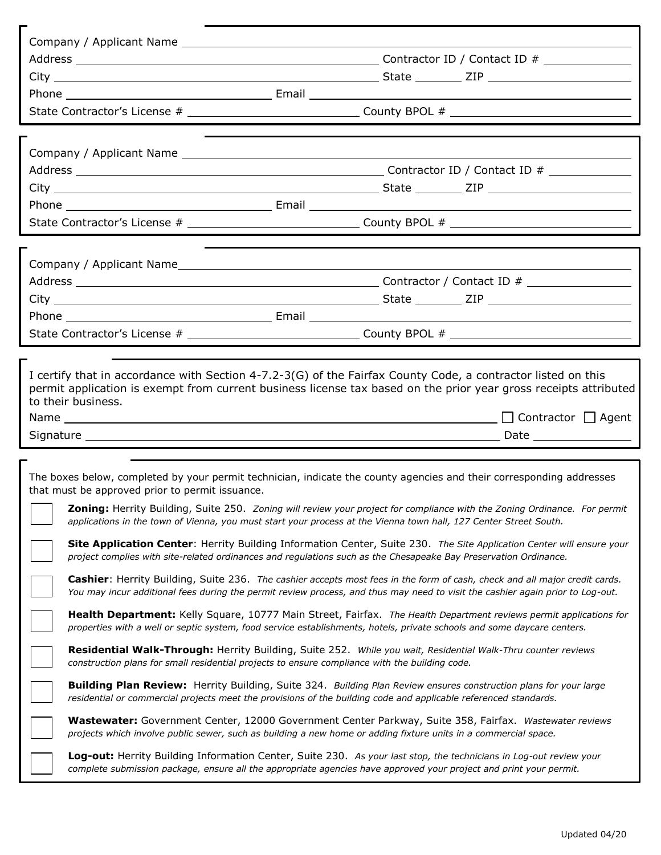|                                                                                                | State Contractor's License # __________________________________County BPOL # _________________________________                                                                                                                                               |  |
|------------------------------------------------------------------------------------------------|--------------------------------------------------------------------------------------------------------------------------------------------------------------------------------------------------------------------------------------------------------------|--|
|                                                                                                |                                                                                                                                                                                                                                                              |  |
|                                                                                                |                                                                                                                                                                                                                                                              |  |
|                                                                                                |                                                                                                                                                                                                                                                              |  |
|                                                                                                |                                                                                                                                                                                                                                                              |  |
|                                                                                                |                                                                                                                                                                                                                                                              |  |
|                                                                                                | State Contractor's License # _________________________________County BPOL # __________________________________                                                                                                                                               |  |
|                                                                                                |                                                                                                                                                                                                                                                              |  |
|                                                                                                |                                                                                                                                                                                                                                                              |  |
|                                                                                                |                                                                                                                                                                                                                                                              |  |
|                                                                                                |                                                                                                                                                                                                                                                              |  |
|                                                                                                |                                                                                                                                                                                                                                                              |  |
|                                                                                                | State Contractor's License # __________________________________County BPOL # _________________________________                                                                                                                                               |  |
|                                                                                                |                                                                                                                                                                                                                                                              |  |
| to their business.                                                                             | I certify that in accordance with Section 4-7.2-3(G) of the Fairfax County Code, a contractor listed on this<br>permit application is exempt from current business license tax based on the prior year gross receipts attributed                             |  |
|                                                                                                | $\Box$ Contractor $\Box$ Agent                                                                                                                                                                                                                               |  |
|                                                                                                |                                                                                                                                                                                                                                                              |  |
| that must be approved prior to permit issuance.                                                | The boxes below, completed by your permit technician, indicate the county agencies and their corresponding addresses                                                                                                                                         |  |
|                                                                                                | <b>Zoning:</b> Herrity Building, Suite 250. Zoning will review your project for compliance with the Zoning Ordinance. For permit<br>applications in the town of Vienna, you must start your process at the Vienna town hall, 127 Center Street South.        |  |
|                                                                                                | Site Application Center: Herrity Building Information Center, Suite 230. The Site Application Center will ensure your<br>project complies with site-related ordinances and regulations such as the Chesapeake Bay Preservation Ordinance.                    |  |
|                                                                                                | Cashier: Herrity Building, Suite 236. The cashier accepts most fees in the form of cash, check and all major credit cards.<br>You may incur additional fees during the permit review process, and thus may need to visit the cashier again prior to Log-out. |  |
|                                                                                                | Health Department: Kelly Square, 10777 Main Street, Fairfax. The Health Department reviews permit applications for<br>properties with a well or septic system, food service establishments, hotels, private schools and some daycare centers.                |  |
| construction plans for small residential projects to ensure compliance with the building code. | Residential Walk-Through: Herrity Building, Suite 252. While you wait, Residential Walk-Thru counter reviews                                                                                                                                                 |  |
|                                                                                                | <b>Building Plan Review:</b> Herrity Building, Suite 324. Building Plan Review ensures construction plans for your large<br>residential or commercial projects meet the provisions of the building code and applicable referenced standards.                 |  |
|                                                                                                | Wastewater: Government Center, 12000 Government Center Parkway, Suite 358, Fairfax. Wastewater reviews<br>projects which involve public sewer, such as building a new home or adding fixture units in a commercial space.                                    |  |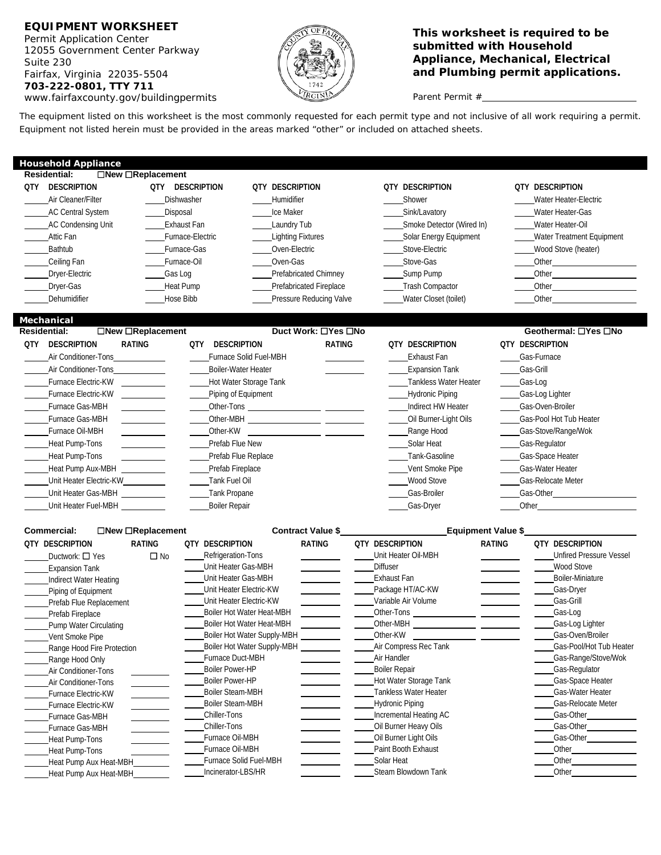Fairfax, Virginia 22035-5504 **and Plumbing permit applications. 703-222-0801, TTY 711**  *www.fairfaxcounty.gov/buildingpermits*  $\sqrt{P_{RGNN}}$  Parent Permit #



# **EQUIPMENT WORKSHEET**<br>Permit Application Center **Center Submitted with Household and Submitted with Household and This worksheet is required to be**<br>12055 Government Center Parkway **Contract on the Submitted with Household** submitted with Household **Subtritive Contemporal Appliance, Mechanical, Electrical Appliance, Mechanical, Electrical** <br>Suite 230 **Appliance, Mechanical, Electrical**

 The equipment listed on this worksheet is the most commonly requested for each permit type and not inclusive of all work requiring a permit. Equipment not listed herein must be provided in the areas marked "other" or included on attached sheets.

 **Residential: New Replacement Duct Work: Yes No Geothermal: Yes No**  Furnace Gas-MBH Furnace Gas-MBH Heat Pump Aux-MBH \_\_\_\_\_\_\_\_\_\_\_\_ \_\_\_\_Prefab Fireplace \_\_\_\_Vent Smoke Pipe \_\_\_\_Gas-Water Heater Unit Heater Gas-MBH \_\_\_\_\_\_\_\_\_\_\_ \_\_\_\_Tank Propane Gas-Broiler Gas-Broiler Gas-Broiler Gas-Gunder Gas-Other Unit Heater Fuel-MBH Boiler Repair Gas-Dryer Other Other-Tons Other-MBH Other-KW **Household Appliance Residential: New Replacement QTY DESCRIPTION QTY DESCRIPTION QTY DESCRIPTION QTY DESCRIPTION QTY DESCRIPTION**  Air Cleaner/Filter **Channel Community Community Community** Chrome Mater Heater-Electric Mater Heater-Electric AC Central System **Contral Contral Contract Contract Contract Contract Contract Contract Contract Contract Contract Contract Contract Contract Contract Contract Contract Contract Contract Contract Contract Contract Contrac** AC Condensing Unit **Exhaust Fan** Laundry Tub Laundry Tub Smoke Detector (Wired In) Water Heater-Oil Attic Fan Furnace-Electric Lighting Fixtures Colar Energy Equipment Mater Treatment Equipment Cuipment Cuipment Bathtub **Furnace-Gas** Coven-Electric Coven-Electric Coven-Electric Coven-Electric Coven-Electric Muslim Coven-Electric Coven-Electric Coven-Electric Coven-Electric Coven-Electric Coven-Electric Coven-Electric Coven-Electri Ceiling Fan Furnace-Oil Oven-Gas Stove-Gas Other Dryer-Electric Gas Log Gas Log Prefabricated Chimney Sump Pump Cther Other Dryer-Gas **Heat Pump** Prefabricated Fireplace Trash Compactor **Compaction** Other Dehumidifier **Hose Bibb** Pressure Reducing Valve Water Closet (toilet) Other Closet (toilet) **Mechanical QTY DESCRIPTION RATING QTY DESCRIPTION RATING QTY DESCRIPTION QTY DESCRIPTION**  Air Conditioner-Tons **Exhaust Fan** Gas-Furnace Solid Fuel-MBH **Exhaust Fan Cas-Furnace** Gas-Furnace Conditioner-Tons Air Conditioner-Tons Cas-Grill Conditioner-Tons Cas-Grill Boiler-Water Heater Conditioner-Tons Cas-Grill Gas-Grill Furnace Electric-KW **Furnace Electric-KW** Hot Water Storage Tank Tankless Water Heater Gas-Log Furnace Electric-KW **Example 2 Constructs** Piping of Equipment **Constructs** Hydronic Piping Gas-Log Lighter Indirect HW Heater Gas-Oven-Broiler Oil Burner-Light Oils Gas-Pool Hot Tub Heater Furnace Oil-MBH **Cas-Stove/Range/Wokensign Community** Other-KW **Cas-Stove/Range/Wokensign Cas-Stove/Range/Wokensign** Heat Pump-Tons Prefab Flue New Solar Heat Gas-Regulator Heat Pump-Tons Prefab Flue Replace Tank-Gasoline Gas-Space Heater \_Unit Heater Electric-KW \_\_\_\_\_\_\_\_\_\_\_\_\_\_\_\_\_\_\_\_\_Tank Fuel Oil Nove \_\_\_\_\_\_\_\_\_\_\_\_\_\_\_\_Wood Stove \_\_\_\_\_\_\_\_\_Gas-Relocate Meter **Commercial:**  $\Box$  **New**  $\Box$  **Replacement** Contract Value \$ **Equipment Value \$ Equipment Value \$ Equipment Value \$ CONTING CONTRACT CONTRACT CONTRACT CONTRACT CONTRACT PATING QTY DESCRIPTION RATING QTY DESCRIPTION RATING QTY DESCRIPTION RATING QTY DESCRIPTION** 

| UIT<br><b>ULSURIPTIUN</b>     | <b>KAIING</b> | Ulf<br><b>ULSURIPTIUN</b>   | <b>KAIING</b> | UIT<br><b>ULSURIPTIUN</b> | <b>KAIING</b> | <u>UII DESCRIPIIUN</u>         |
|-------------------------------|---------------|-----------------------------|---------------|---------------------------|---------------|--------------------------------|
| Ductwork: □ Yes               | $\square$ No  | Refrigeration-Tons          |               | Unit Heater Oil-MBH       |               | <b>Unfired Pressure Vessel</b> |
| <b>Expansion Tank</b>         |               | Unit Heater Gas-MBH         |               | <b>Diffuser</b>           |               | Wood Stove                     |
| Indirect Water Heating        |               | Unit Heater Gas-MBH         |               | Exhaust Fan               |               | Boiler-Miniature               |
| Piping of Equipment           |               | Unit Heater Electric-KW     |               | Package HT/AC-KW          |               | Gas-Dryer                      |
| Prefab Flue Replacement       |               | Unit Heater Electric-KW     |               | Variable Air Volume       |               | Gas-Grill                      |
| Prefab Fireplace              |               | Boiler Hot Water Heat-MBH   |               | Other-Tons                |               | Gas-Log                        |
| <b>Pump Water Circulating</b> |               | Boiler Hot Water Heat-MBH   |               | Other-MBH                 |               | Gas-Log Lighter                |
| Vent Smoke Pipe               |               | Boiler Hot Water Supply-MBH |               | Other-KW                  |               | Gas-Oven/Broiler               |
| Range Hood Fire Protection    |               | Boiler Hot Water Supply-MBH |               | Air Compress Rec Tank     |               | Gas-Pool/Hot Tub Heater        |
| Range Hood Only               |               | Furnace Duct-MBH            |               | Air Handler               |               | Gas-Range/Stove/Wok            |
| Air Conditioner-Tons          |               | <b>Boiler Power-HP</b>      |               | <b>Boiler Repair</b>      |               | Gas-Regulator                  |
| Air Conditioner-Tons          |               | <b>Boiler Power-HP</b>      |               | Hot Water Storage Tank    |               | Gas-Space Heater               |
| Furnace Electric-KW           |               | <b>Boiler Steam-MBH</b>     |               | Tankless Water Heater     |               | Gas-Water Heater               |
| Furnace Electric-KW           |               | <b>Boiler Steam-MBH</b>     |               | <b>Hydronic Piping</b>    |               | Gas-Relocate Meter             |
| Furnace Gas-MBH               |               | Chiller-Tons                |               | Incremental Heating AC    |               | Gas-Other                      |
| Furnace Gas-MBH               |               | Chiller-Tons                |               | Oil Burner Heavy Oils     |               | Gas-Other                      |
| Heat Pump-Tons                |               | Furnace Oil-MBH             |               | Oil Burner Light Oils     |               | Gas-Other                      |
| Heat Pump-Tons                |               | Furnace Oil-MBH             |               | Paint Booth Exhaust       |               | Other                          |
| Heat Pump Aux Heat-MBH        |               | Furnace Solid Fuel-MBH      |               | Solar Heat                |               | Other                          |
| Heat Pump Aux Heat-MBH        |               | Incinerator-LBS/HR          |               | Steam Blowdown Tank       |               | Other                          |